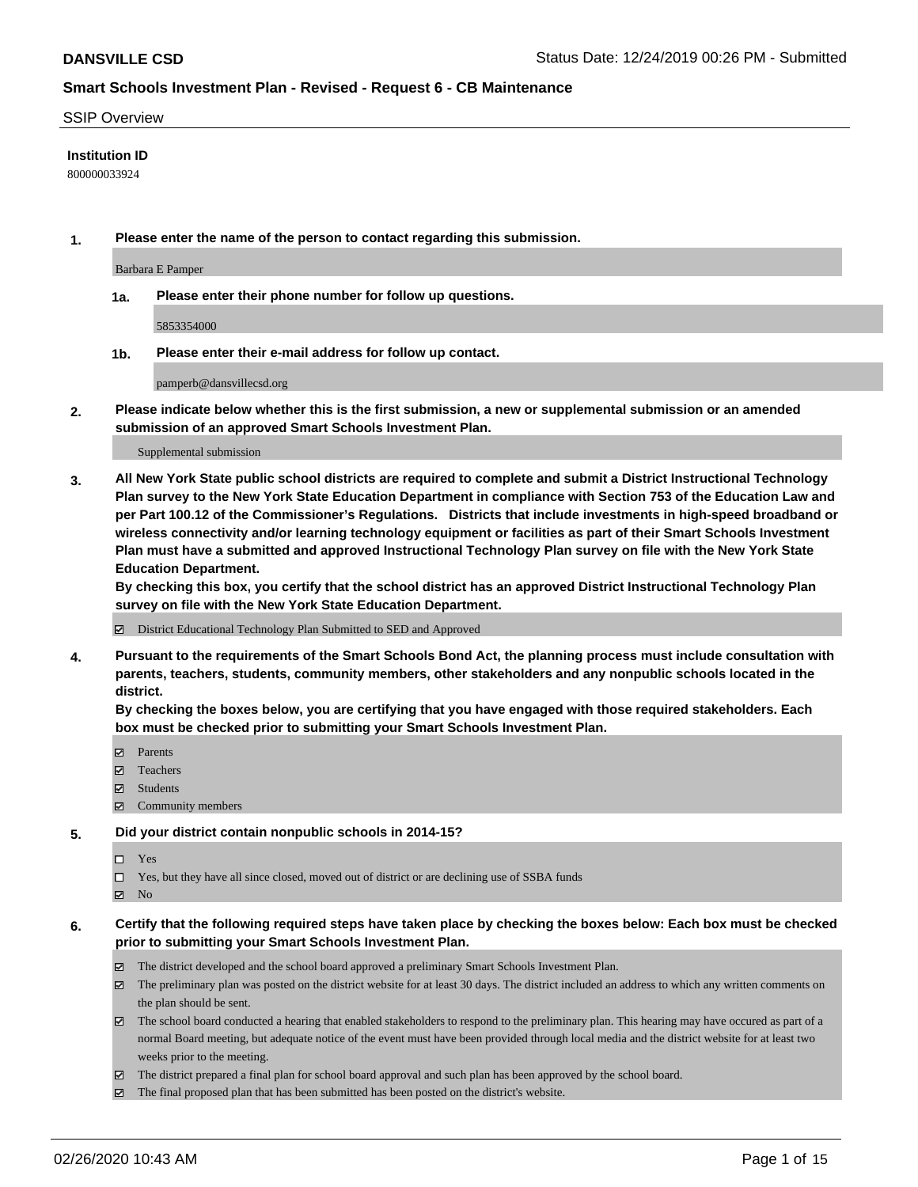### SSIP Overview

### **Institution ID**

800000033924

**1. Please enter the name of the person to contact regarding this submission.**

Barbara E Pamper

**1a. Please enter their phone number for follow up questions.**

5853354000

**1b. Please enter their e-mail address for follow up contact.**

pamperb@dansvillecsd.org

**2. Please indicate below whether this is the first submission, a new or supplemental submission or an amended submission of an approved Smart Schools Investment Plan.**

#### Supplemental submission

**3. All New York State public school districts are required to complete and submit a District Instructional Technology Plan survey to the New York State Education Department in compliance with Section 753 of the Education Law and per Part 100.12 of the Commissioner's Regulations. Districts that include investments in high-speed broadband or wireless connectivity and/or learning technology equipment or facilities as part of their Smart Schools Investment Plan must have a submitted and approved Instructional Technology Plan survey on file with the New York State Education Department.** 

**By checking this box, you certify that the school district has an approved District Instructional Technology Plan survey on file with the New York State Education Department.**

District Educational Technology Plan Submitted to SED and Approved

**4. Pursuant to the requirements of the Smart Schools Bond Act, the planning process must include consultation with parents, teachers, students, community members, other stakeholders and any nonpublic schools located in the district.** 

**By checking the boxes below, you are certifying that you have engaged with those required stakeholders. Each box must be checked prior to submitting your Smart Schools Investment Plan.**

- **マ** Parents
- Teachers
- Students
- Community members

#### **5. Did your district contain nonpublic schools in 2014-15?**

 $\neg$  Yes

Yes, but they have all since closed, moved out of district or are declining use of SSBA funds

**Z** No

### **6. Certify that the following required steps have taken place by checking the boxes below: Each box must be checked prior to submitting your Smart Schools Investment Plan.**

- The district developed and the school board approved a preliminary Smart Schools Investment Plan.
- $\boxtimes$  The preliminary plan was posted on the district website for at least 30 days. The district included an address to which any written comments on the plan should be sent.
- $\boxtimes$  The school board conducted a hearing that enabled stakeholders to respond to the preliminary plan. This hearing may have occured as part of a normal Board meeting, but adequate notice of the event must have been provided through local media and the district website for at least two weeks prior to the meeting.
- The district prepared a final plan for school board approval and such plan has been approved by the school board.
- $\boxtimes$  The final proposed plan that has been submitted has been posted on the district's website.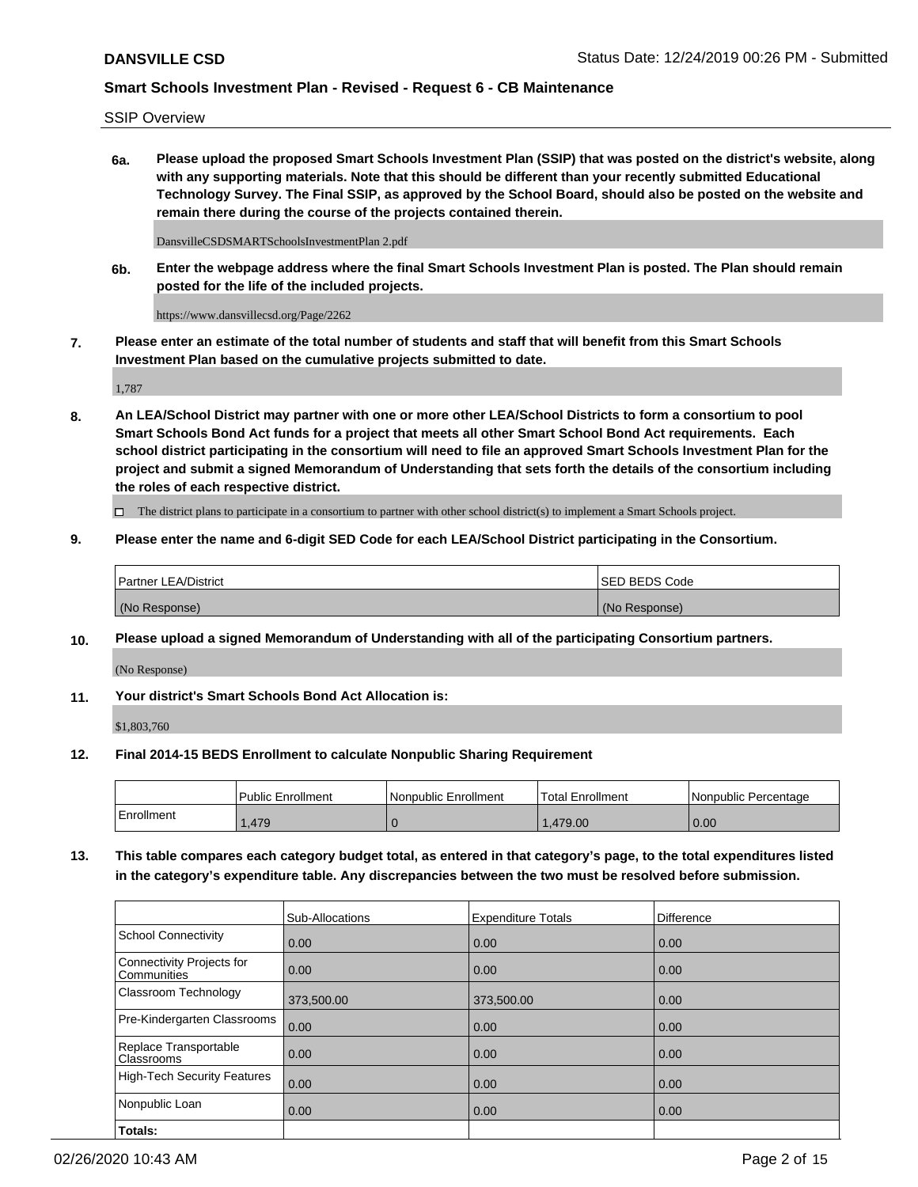SSIP Overview

**6a. Please upload the proposed Smart Schools Investment Plan (SSIP) that was posted on the district's website, along with any supporting materials. Note that this should be different than your recently submitted Educational Technology Survey. The Final SSIP, as approved by the School Board, should also be posted on the website and remain there during the course of the projects contained therein.**

DansvilleCSDSMARTSchoolsInvestmentPlan 2.pdf

**6b. Enter the webpage address where the final Smart Schools Investment Plan is posted. The Plan should remain posted for the life of the included projects.**

https://www.dansvillecsd.org/Page/2262

**7. Please enter an estimate of the total number of students and staff that will benefit from this Smart Schools Investment Plan based on the cumulative projects submitted to date.**

1,787

**8. An LEA/School District may partner with one or more other LEA/School Districts to form a consortium to pool Smart Schools Bond Act funds for a project that meets all other Smart School Bond Act requirements. Each school district participating in the consortium will need to file an approved Smart Schools Investment Plan for the project and submit a signed Memorandum of Understanding that sets forth the details of the consortium including the roles of each respective district.**

 $\Box$  The district plans to participate in a consortium to partner with other school district(s) to implement a Smart Schools project.

### **9. Please enter the name and 6-digit SED Code for each LEA/School District participating in the Consortium.**

| Partner LEA/District | ISED BEDS Code |
|----------------------|----------------|
| (No Response)        | (No Response)  |

### **10. Please upload a signed Memorandum of Understanding with all of the participating Consortium partners.**

(No Response)

### **11. Your district's Smart Schools Bond Act Allocation is:**

\$1,803,760

#### **12. Final 2014-15 BEDS Enrollment to calculate Nonpublic Sharing Requirement**

|            | l Public Enrollment | Nonpublic Enrollment | Total Enrollment | Nonpublic Percentage |
|------------|---------------------|----------------------|------------------|----------------------|
| Enrollment | .479                |                      | .479.00          | 0.00                 |

**13. This table compares each category budget total, as entered in that category's page, to the total expenditures listed in the category's expenditure table. Any discrepancies between the two must be resolved before submission.**

|                                          | Sub-Allocations | <b>Expenditure Totals</b> | Difference |
|------------------------------------------|-----------------|---------------------------|------------|
| <b>School Connectivity</b>               | 0.00            | 0.00                      | 0.00       |
| Connectivity Projects for<br>Communities | 0.00            | 0.00                      | 0.00       |
| Classroom Technology                     | 373,500.00      | 373,500.00                | 0.00       |
| Pre-Kindergarten Classrooms              | 0.00            | 0.00                      | 0.00       |
| Replace Transportable<br>Classrooms      | 0.00            | 0.00                      | 0.00       |
| <b>High-Tech Security Features</b>       | 0.00            | 0.00                      | 0.00       |
| Nonpublic Loan                           | 0.00            | 0.00                      | 0.00       |
| Totals:                                  |                 |                           |            |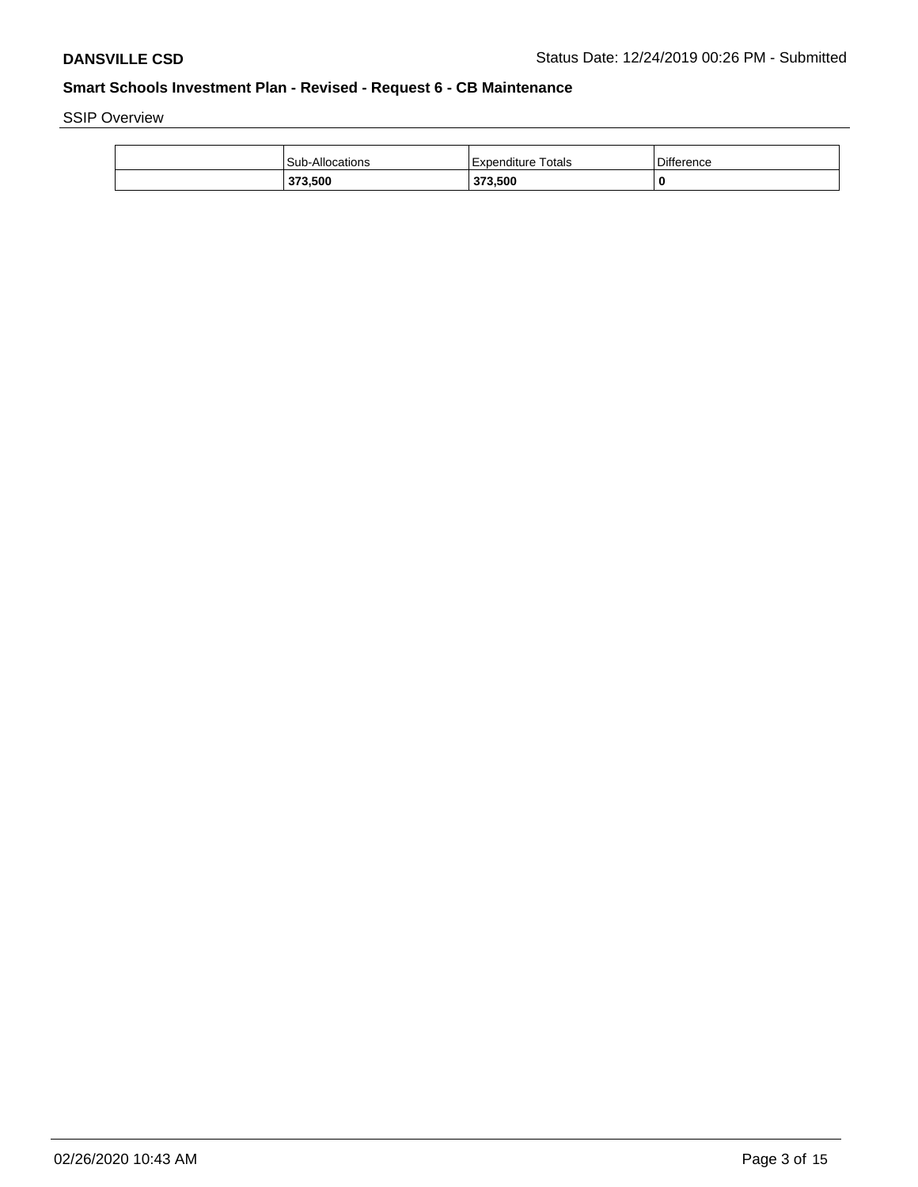SSIP Overview

| Sub-Allocations | Expenditure Totals | <b>Difference</b> |
|-----------------|--------------------|-------------------|
| 373.500         | 373.500            |                   |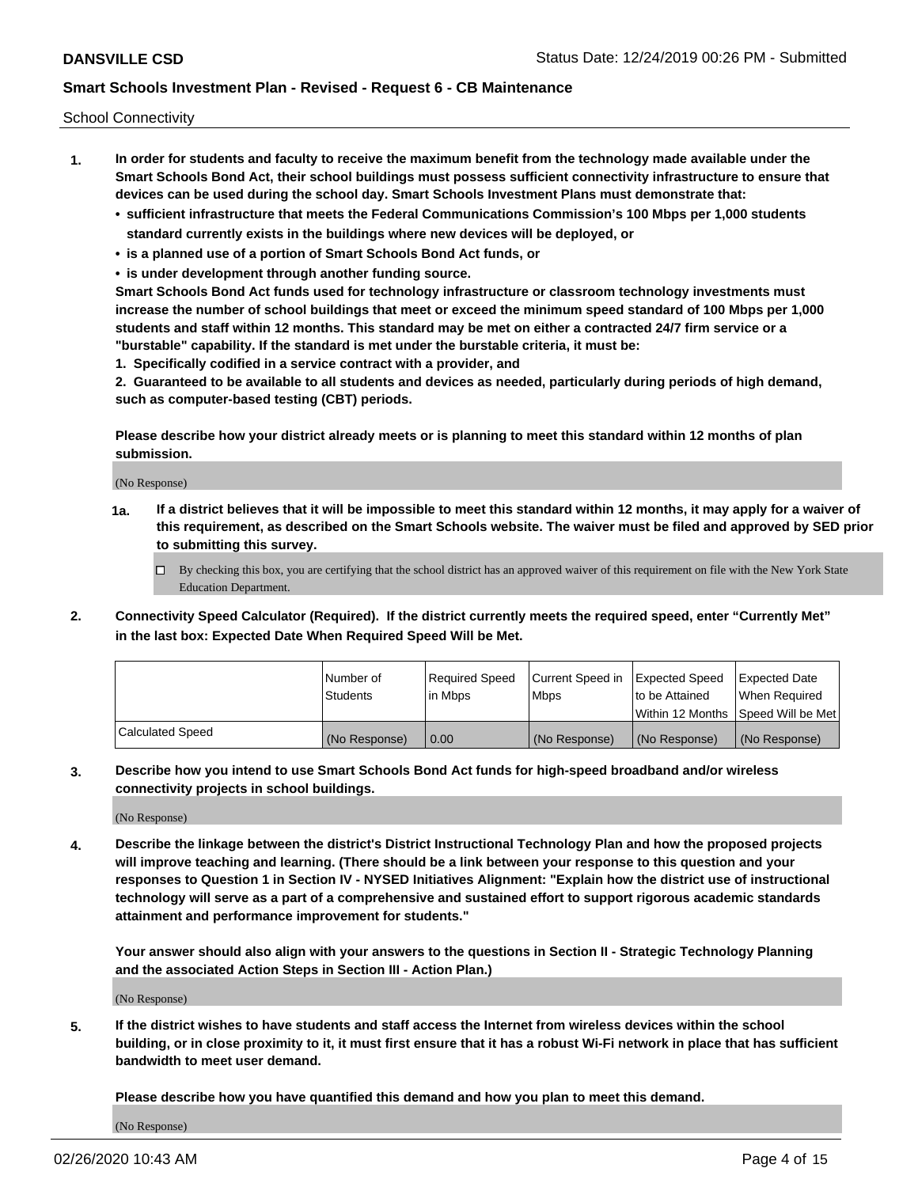School Connectivity

- **1. In order for students and faculty to receive the maximum benefit from the technology made available under the Smart Schools Bond Act, their school buildings must possess sufficient connectivity infrastructure to ensure that devices can be used during the school day. Smart Schools Investment Plans must demonstrate that:**
	- **• sufficient infrastructure that meets the Federal Communications Commission's 100 Mbps per 1,000 students standard currently exists in the buildings where new devices will be deployed, or**
	- **• is a planned use of a portion of Smart Schools Bond Act funds, or**
	- **• is under development through another funding source.**

**Smart Schools Bond Act funds used for technology infrastructure or classroom technology investments must increase the number of school buildings that meet or exceed the minimum speed standard of 100 Mbps per 1,000 students and staff within 12 months. This standard may be met on either a contracted 24/7 firm service or a "burstable" capability. If the standard is met under the burstable criteria, it must be:**

**1. Specifically codified in a service contract with a provider, and**

**2. Guaranteed to be available to all students and devices as needed, particularly during periods of high demand, such as computer-based testing (CBT) periods.**

**Please describe how your district already meets or is planning to meet this standard within 12 months of plan submission.**

(No Response)

**1a. If a district believes that it will be impossible to meet this standard within 12 months, it may apply for a waiver of this requirement, as described on the Smart Schools website. The waiver must be filed and approved by SED prior to submitting this survey.**

 $\Box$  By checking this box, you are certifying that the school district has an approved waiver of this requirement on file with the New York State Education Department.

**2. Connectivity Speed Calculator (Required). If the district currently meets the required speed, enter "Currently Met" in the last box: Expected Date When Required Speed Will be Met.**

|                  | l Number of     | Required Speed | Current Speed in | Expected Speed  | Expected Date                           |
|------------------|-----------------|----------------|------------------|-----------------|-----------------------------------------|
|                  | <b>Students</b> | In Mbps        | l Mbps           | to be Attained  | When Required                           |
|                  |                 |                |                  |                 | l Within 12 Months ISpeed Will be Met l |
| Calculated Speed | (No Response)   | 0.00           | (No Response)    | l (No Response) | l (No Response)                         |

**3. Describe how you intend to use Smart Schools Bond Act funds for high-speed broadband and/or wireless connectivity projects in school buildings.**

(No Response)

**4. Describe the linkage between the district's District Instructional Technology Plan and how the proposed projects will improve teaching and learning. (There should be a link between your response to this question and your responses to Question 1 in Section IV - NYSED Initiatives Alignment: "Explain how the district use of instructional technology will serve as a part of a comprehensive and sustained effort to support rigorous academic standards attainment and performance improvement for students."** 

**Your answer should also align with your answers to the questions in Section II - Strategic Technology Planning and the associated Action Steps in Section III - Action Plan.)**

(No Response)

**5. If the district wishes to have students and staff access the Internet from wireless devices within the school building, or in close proximity to it, it must first ensure that it has a robust Wi-Fi network in place that has sufficient bandwidth to meet user demand.**

**Please describe how you have quantified this demand and how you plan to meet this demand.**

(No Response)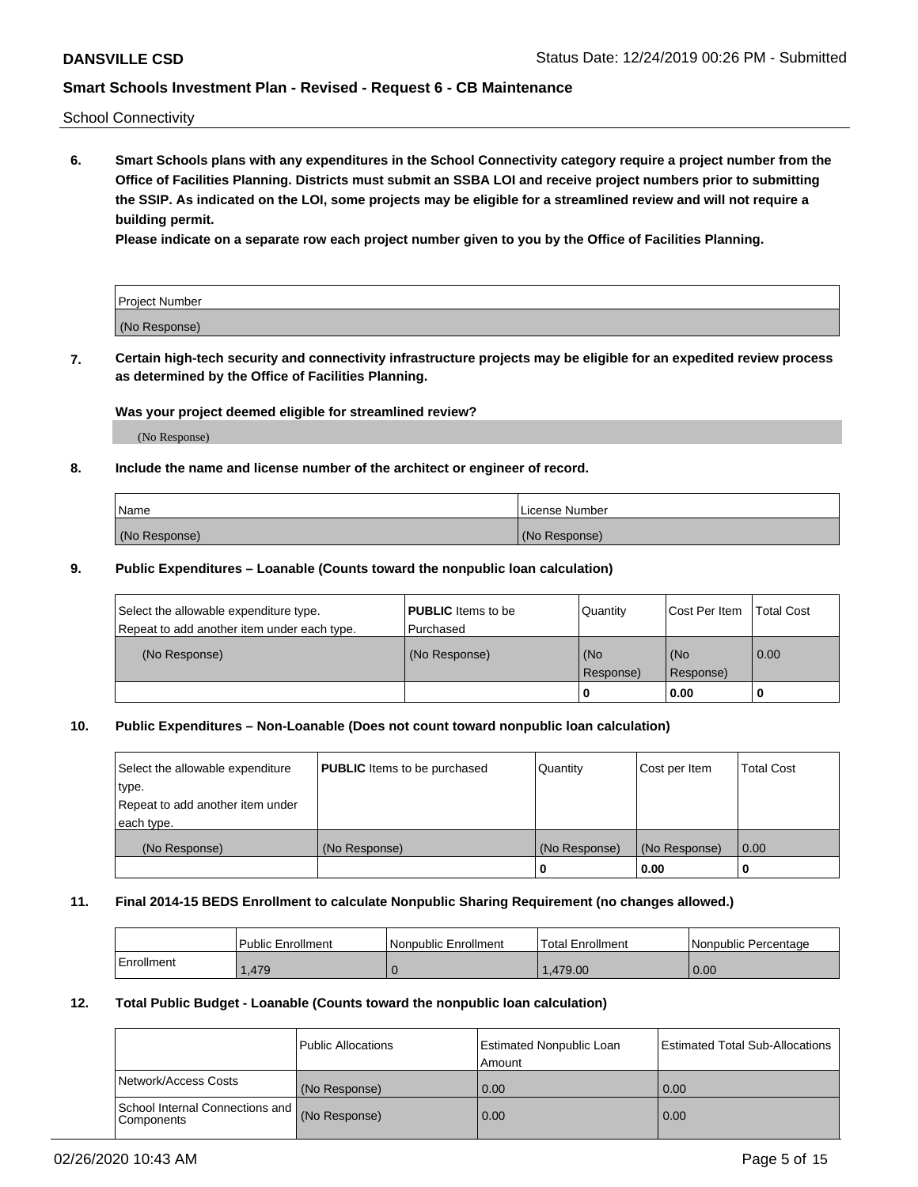School Connectivity

**6. Smart Schools plans with any expenditures in the School Connectivity category require a project number from the Office of Facilities Planning. Districts must submit an SSBA LOI and receive project numbers prior to submitting the SSIP. As indicated on the LOI, some projects may be eligible for a streamlined review and will not require a building permit.**

**Please indicate on a separate row each project number given to you by the Office of Facilities Planning.**

| Project Number |  |
|----------------|--|
| (No Response)  |  |

**7. Certain high-tech security and connectivity infrastructure projects may be eligible for an expedited review process as determined by the Office of Facilities Planning.**

### **Was your project deemed eligible for streamlined review?**

(No Response)

### **8. Include the name and license number of the architect or engineer of record.**

| Name          | License Number |
|---------------|----------------|
| (No Response) | (No Response)  |

### **9. Public Expenditures – Loanable (Counts toward the nonpublic loan calculation)**

| Select the allowable expenditure type.<br>Repeat to add another item under each type. | <b>PUBLIC</b> Items to be<br>l Purchased | Quantity         | l Cost Per Item  | <b>Total Cost</b> |
|---------------------------------------------------------------------------------------|------------------------------------------|------------------|------------------|-------------------|
| (No Response)                                                                         | (No Response)                            | (No<br>Response) | (No<br>Response) | 0.00              |
|                                                                                       |                                          | 0                | 0.00             |                   |

### **10. Public Expenditures – Non-Loanable (Does not count toward nonpublic loan calculation)**

| Select the allowable expenditure<br>type.<br>Repeat to add another item under<br>each type. | <b>PUBLIC</b> Items to be purchased | Quantity      | Cost per Item | <b>Total Cost</b> |
|---------------------------------------------------------------------------------------------|-------------------------------------|---------------|---------------|-------------------|
| (No Response)                                                                               | (No Response)                       | (No Response) | (No Response) | 0.00              |
|                                                                                             |                                     |               | 0.00          |                   |

#### **11. Final 2014-15 BEDS Enrollment to calculate Nonpublic Sharing Requirement (no changes allowed.)**

|            | Public Enrollment | Nonpublic Enrollment | 'Total Enrollment | l Nonpublic Percentage |
|------------|-------------------|----------------------|-------------------|------------------------|
| Enrollment | .479              |                      | .479.00           | 0.00                   |

### **12. Total Public Budget - Loanable (Counts toward the nonpublic loan calculation)**

|                                                      | Public Allocations | <b>Estimated Nonpublic Loan</b><br>Amount | Estimated Total Sub-Allocations |
|------------------------------------------------------|--------------------|-------------------------------------------|---------------------------------|
| Network/Access Costs                                 | (No Response)      | 0.00                                      | 0.00                            |
| School Internal Connections and<br><b>Components</b> | (No Response)      | 0.00                                      | 0.00                            |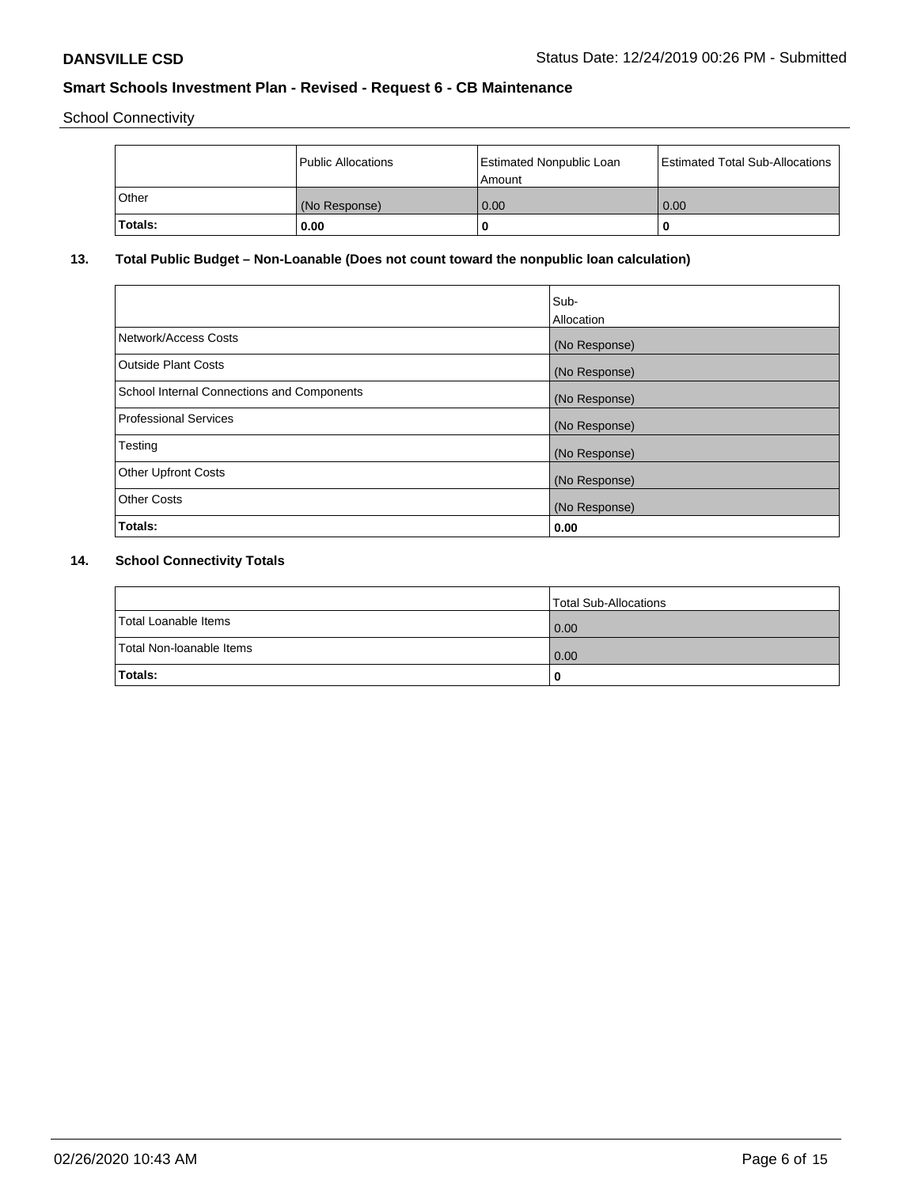School Connectivity

|         | <b>Public Allocations</b> | <b>Estimated Nonpublic Loan</b><br>Amount | <b>Estimated Total Sub-Allocations</b> |
|---------|---------------------------|-------------------------------------------|----------------------------------------|
| Other   | (No Response)             | 0.00                                      | 0.00                                   |
| Totals: | 0.00                      | 0                                         | o                                      |

## **13. Total Public Budget – Non-Loanable (Does not count toward the nonpublic loan calculation)**

|                                                   | Sub-<br>Allocation |
|---------------------------------------------------|--------------------|
| Network/Access Costs                              | (No Response)      |
| <b>Outside Plant Costs</b>                        | (No Response)      |
| <b>School Internal Connections and Components</b> | (No Response)      |
| Professional Services                             | (No Response)      |
| Testing                                           | (No Response)      |
| <b>Other Upfront Costs</b>                        | (No Response)      |
| <b>Other Costs</b>                                | (No Response)      |
| <b>Totals:</b>                                    | 0.00               |

# **14. School Connectivity Totals**

|                          | Total Sub-Allocations |
|--------------------------|-----------------------|
| Total Loanable Items     | 0.00                  |
| Total Non-Ioanable Items | 0.00                  |
| Totals:                  | 0                     |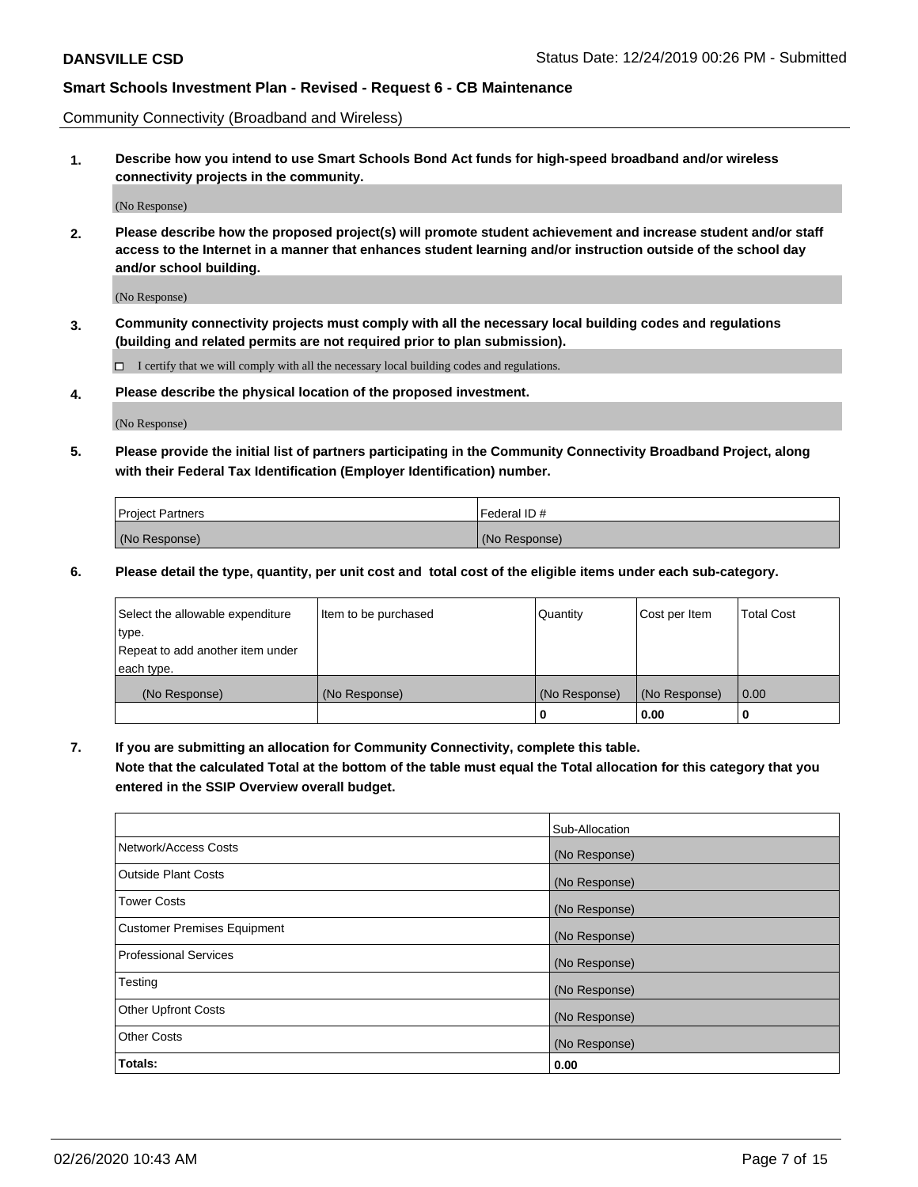Community Connectivity (Broadband and Wireless)

**1. Describe how you intend to use Smart Schools Bond Act funds for high-speed broadband and/or wireless connectivity projects in the community.**

(No Response)

**2. Please describe how the proposed project(s) will promote student achievement and increase student and/or staff access to the Internet in a manner that enhances student learning and/or instruction outside of the school day and/or school building.**

(No Response)

**3. Community connectivity projects must comply with all the necessary local building codes and regulations (building and related permits are not required prior to plan submission).**

 $\Box$  I certify that we will comply with all the necessary local building codes and regulations.

**4. Please describe the physical location of the proposed investment.**

(No Response)

**5. Please provide the initial list of partners participating in the Community Connectivity Broadband Project, along with their Federal Tax Identification (Employer Identification) number.**

| <b>Project Partners</b> | l Federal ID # |
|-------------------------|----------------|
| (No Response)           | (No Response)  |

**6. Please detail the type, quantity, per unit cost and total cost of the eligible items under each sub-category.**

| Select the allowable expenditure | Item to be purchased | Quantity      | Cost per Item | <b>Total Cost</b> |
|----------------------------------|----------------------|---------------|---------------|-------------------|
| type.                            |                      |               |               |                   |
| Repeat to add another item under |                      |               |               |                   |
| each type.                       |                      |               |               |                   |
| (No Response)                    | (No Response)        | (No Response) | (No Response) | 0.00              |
|                                  |                      | o             | 0.00          |                   |

**7. If you are submitting an allocation for Community Connectivity, complete this table.**

**Note that the calculated Total at the bottom of the table must equal the Total allocation for this category that you entered in the SSIP Overview overall budget.**

|                                    | Sub-Allocation |
|------------------------------------|----------------|
| Network/Access Costs               | (No Response)  |
| Outside Plant Costs                | (No Response)  |
| <b>Tower Costs</b>                 | (No Response)  |
| <b>Customer Premises Equipment</b> | (No Response)  |
| <b>Professional Services</b>       | (No Response)  |
| Testing                            | (No Response)  |
| <b>Other Upfront Costs</b>         | (No Response)  |
| <b>Other Costs</b>                 | (No Response)  |
| Totals:                            | 0.00           |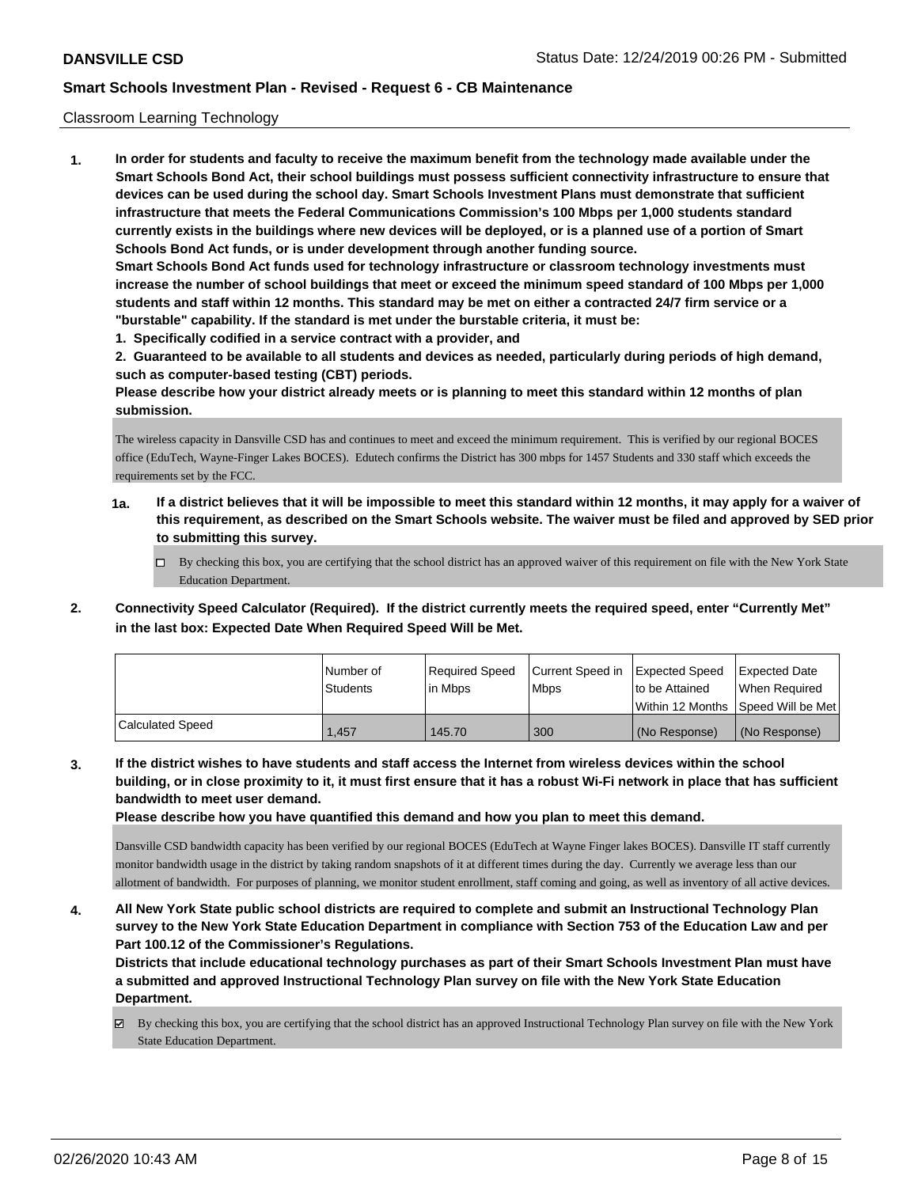### Classroom Learning Technology

**1. In order for students and faculty to receive the maximum benefit from the technology made available under the Smart Schools Bond Act, their school buildings must possess sufficient connectivity infrastructure to ensure that devices can be used during the school day. Smart Schools Investment Plans must demonstrate that sufficient infrastructure that meets the Federal Communications Commission's 100 Mbps per 1,000 students standard currently exists in the buildings where new devices will be deployed, or is a planned use of a portion of Smart Schools Bond Act funds, or is under development through another funding source. Smart Schools Bond Act funds used for technology infrastructure or classroom technology investments must increase the number of school buildings that meet or exceed the minimum speed standard of 100 Mbps per 1,000 students and staff within 12 months. This standard may be met on either a contracted 24/7 firm service or a "burstable" capability. If the standard is met under the burstable criteria, it must be:**

**1. Specifically codified in a service contract with a provider, and**

**2. Guaranteed to be available to all students and devices as needed, particularly during periods of high demand, such as computer-based testing (CBT) periods.**

**Please describe how your district already meets or is planning to meet this standard within 12 months of plan submission.**

The wireless capacity in Dansville CSD has and continues to meet and exceed the minimum requirement. This is verified by our regional BOCES office (EduTech, Wayne-Finger Lakes BOCES). Edutech confirms the District has 300 mbps for 1457 Students and 330 staff which exceeds the requirements set by the FCC.

- **1a. If a district believes that it will be impossible to meet this standard within 12 months, it may apply for a waiver of this requirement, as described on the Smart Schools website. The waiver must be filed and approved by SED prior to submitting this survey.**
	- $\Box$  By checking this box, you are certifying that the school district has an approved waiver of this requirement on file with the New York State Education Department.
- **2. Connectivity Speed Calculator (Required). If the district currently meets the required speed, enter "Currently Met" in the last box: Expected Date When Required Speed Will be Met.**

|                  | l Number of | Required Speed | Current Speed in | Expected Speed     | <b>Expected Date</b> |
|------------------|-------------|----------------|------------------|--------------------|----------------------|
|                  | Students    | lin Mbps       | <b>Mbps</b>      | to be Attained     | When Reauired        |
|                  |             |                |                  | l Within 12 Months | Speed Will be Met    |
| Calculated Speed | 1.457       | 145.70         | 300              | (No Response)      | (No Response)        |

**3. If the district wishes to have students and staff access the Internet from wireless devices within the school building, or in close proximity to it, it must first ensure that it has a robust Wi-Fi network in place that has sufficient bandwidth to meet user demand.**

**Please describe how you have quantified this demand and how you plan to meet this demand.**

Dansville CSD bandwidth capacity has been verified by our regional BOCES (EduTech at Wayne Finger lakes BOCES). Dansville IT staff currently monitor bandwidth usage in the district by taking random snapshots of it at different times during the day. Currently we average less than our allotment of bandwidth. For purposes of planning, we monitor student enrollment, staff coming and going, as well as inventory of all active devices.

**4. All New York State public school districts are required to complete and submit an Instructional Technology Plan survey to the New York State Education Department in compliance with Section 753 of the Education Law and per Part 100.12 of the Commissioner's Regulations.**

**Districts that include educational technology purchases as part of their Smart Schools Investment Plan must have a submitted and approved Instructional Technology Plan survey on file with the New York State Education Department.**

By checking this box, you are certifying that the school district has an approved Instructional Technology Plan survey on file with the New York State Education Department.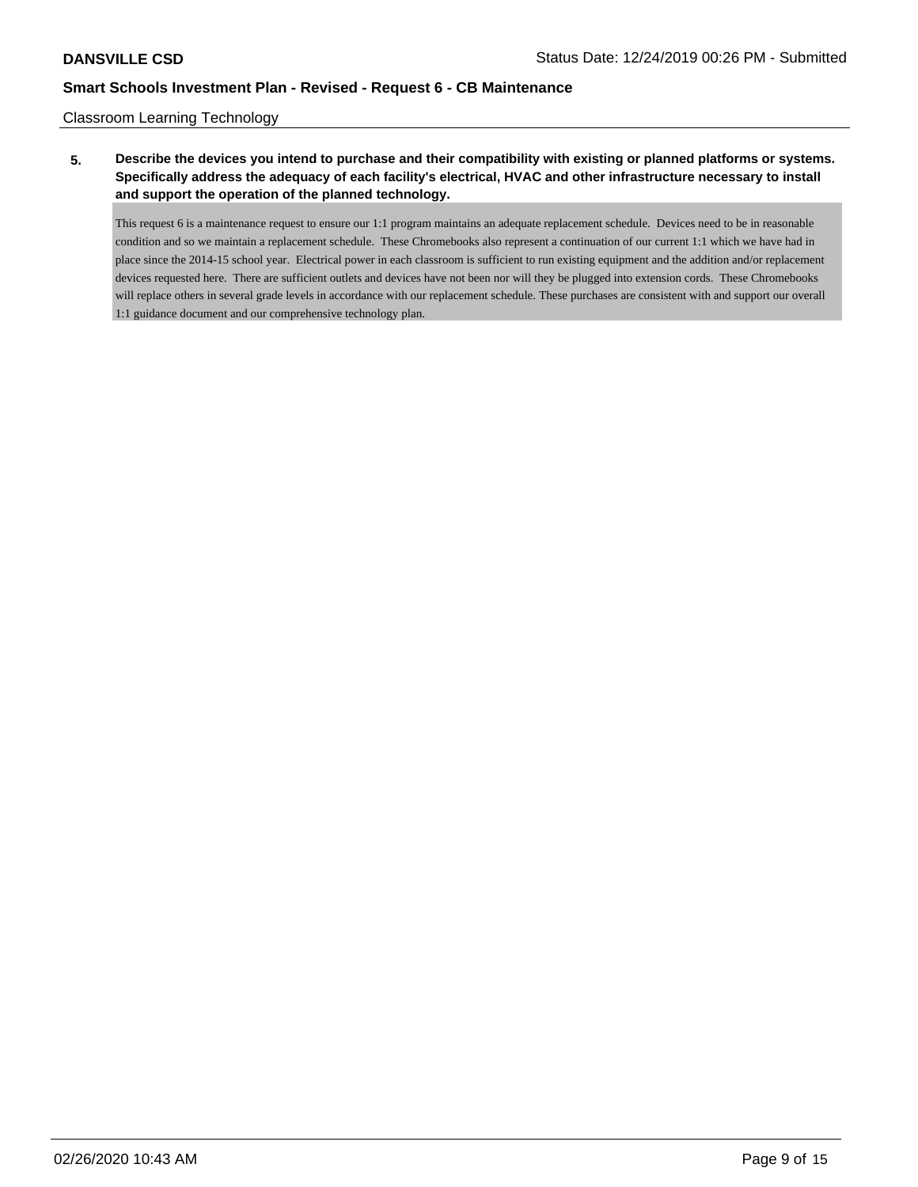### Classroom Learning Technology

## **5. Describe the devices you intend to purchase and their compatibility with existing or planned platforms or systems. Specifically address the adequacy of each facility's electrical, HVAC and other infrastructure necessary to install and support the operation of the planned technology.**

This request 6 is a maintenance request to ensure our 1:1 program maintains an adequate replacement schedule. Devices need to be in reasonable condition and so we maintain a replacement schedule. These Chromebooks also represent a continuation of our current 1:1 which we have had in place since the 2014-15 school year. Electrical power in each classroom is sufficient to run existing equipment and the addition and/or replacement devices requested here. There are sufficient outlets and devices have not been nor will they be plugged into extension cords. These Chromebooks will replace others in several grade levels in accordance with our replacement schedule. These purchases are consistent with and support our overall 1:1 guidance document and our comprehensive technology plan.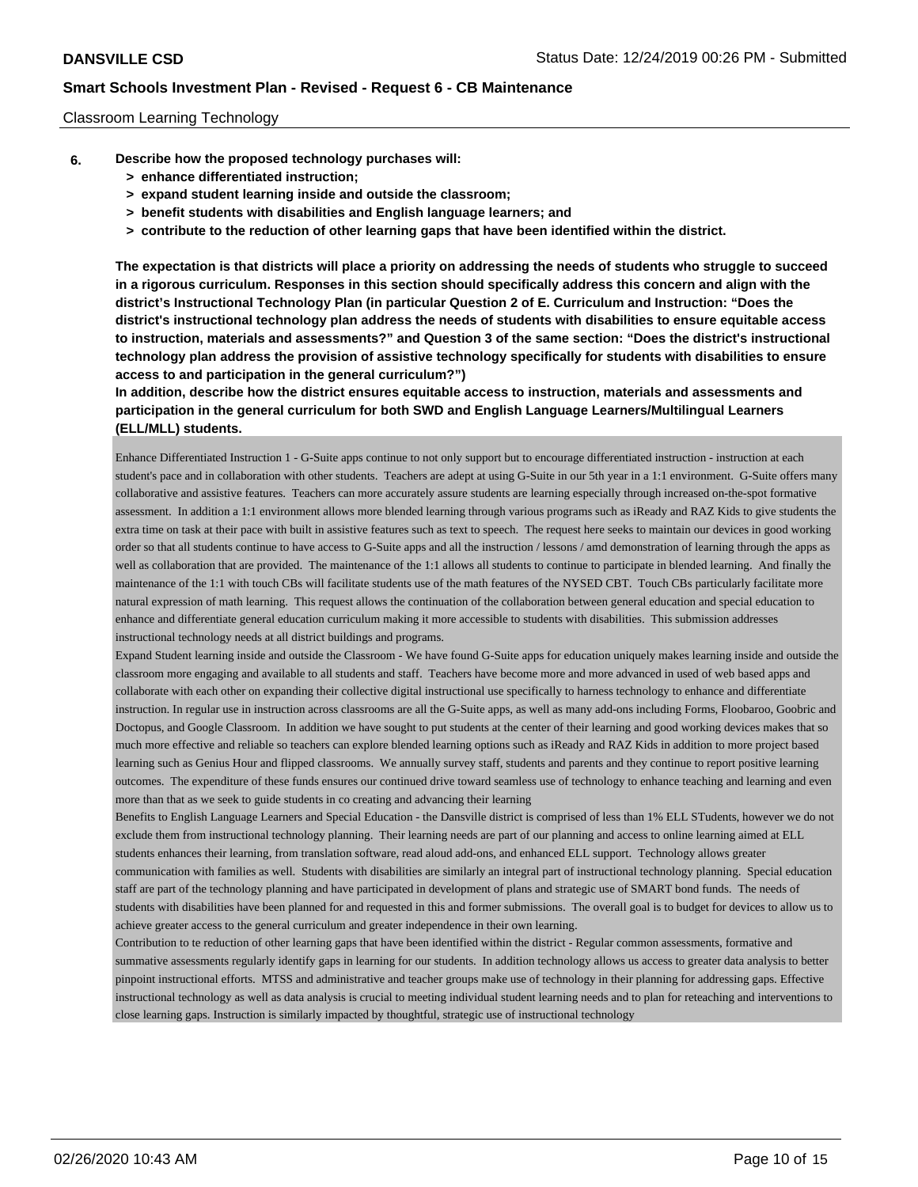### Classroom Learning Technology

- **6. Describe how the proposed technology purchases will:**
	- **> enhance differentiated instruction;**
	- **> expand student learning inside and outside the classroom;**
	- **> benefit students with disabilities and English language learners; and**
	- **> contribute to the reduction of other learning gaps that have been identified within the district.**

**The expectation is that districts will place a priority on addressing the needs of students who struggle to succeed in a rigorous curriculum. Responses in this section should specifically address this concern and align with the district's Instructional Technology Plan (in particular Question 2 of E. Curriculum and Instruction: "Does the district's instructional technology plan address the needs of students with disabilities to ensure equitable access to instruction, materials and assessments?" and Question 3 of the same section: "Does the district's instructional technology plan address the provision of assistive technology specifically for students with disabilities to ensure access to and participation in the general curriculum?")**

**In addition, describe how the district ensures equitable access to instruction, materials and assessments and participation in the general curriculum for both SWD and English Language Learners/Multilingual Learners (ELL/MLL) students.**

Enhance Differentiated Instruction 1 - G-Suite apps continue to not only support but to encourage differentiated instruction - instruction at each student's pace and in collaboration with other students. Teachers are adept at using G-Suite in our 5th year in a 1:1 environment. G-Suite offers many collaborative and assistive features. Teachers can more accurately assure students are learning especially through increased on-the-spot formative assessment. In addition a 1:1 environment allows more blended learning through various programs such as iReady and RAZ Kids to give students the extra time on task at their pace with built in assistive features such as text to speech. The request here seeks to maintain our devices in good working order so that all students continue to have access to G-Suite apps and all the instruction / lessons / amd demonstration of learning through the apps as well as collaboration that are provided. The maintenance of the 1:1 allows all students to continue to participate in blended learning. And finally the maintenance of the 1:1 with touch CBs will facilitate students use of the math features of the NYSED CBT. Touch CBs particularly facilitate more natural expression of math learning. This request allows the continuation of the collaboration between general education and special education to enhance and differentiate general education curriculum making it more accessible to students with disabilities. This submission addresses instructional technology needs at all district buildings and programs.

Expand Student learning inside and outside the Classroom - We have found G-Suite apps for education uniquely makes learning inside and outside the classroom more engaging and available to all students and staff. Teachers have become more and more advanced in used of web based apps and collaborate with each other on expanding their collective digital instructional use specifically to harness technology to enhance and differentiate instruction. In regular use in instruction across classrooms are all the G-Suite apps, as well as many add-ons including Forms, Floobaroo, Goobric and Doctopus, and Google Classroom. In addition we have sought to put students at the center of their learning and good working devices makes that so much more effective and reliable so teachers can explore blended learning options such as iReady and RAZ Kids in addition to more project based learning such as Genius Hour and flipped classrooms. We annually survey staff, students and parents and they continue to report positive learning outcomes. The expenditure of these funds ensures our continued drive toward seamless use of technology to enhance teaching and learning and even more than that as we seek to guide students in co creating and advancing their learning

Benefits to English Language Learners and Special Education - the Dansville district is comprised of less than 1% ELL STudents, however we do not exclude them from instructional technology planning. Their learning needs are part of our planning and access to online learning aimed at ELL students enhances their learning, from translation software, read aloud add-ons, and enhanced ELL support. Technology allows greater communication with families as well. Students with disabilities are similarly an integral part of instructional technology planning. Special education staff are part of the technology planning and have participated in development of plans and strategic use of SMART bond funds. The needs of students with disabilities have been planned for and requested in this and former submissions. The overall goal is to budget for devices to allow us to achieve greater access to the general curriculum and greater independence in their own learning.

Contribution to te reduction of other learning gaps that have been identified within the district - Regular common assessments, formative and summative assessments regularly identify gaps in learning for our students. In addition technology allows us access to greater data analysis to better pinpoint instructional efforts. MTSS and administrative and teacher groups make use of technology in their planning for addressing gaps. Effective instructional technology as well as data analysis is crucial to meeting individual student learning needs and to plan for reteaching and interventions to close learning gaps. Instruction is similarly impacted by thoughtful, strategic use of instructional technology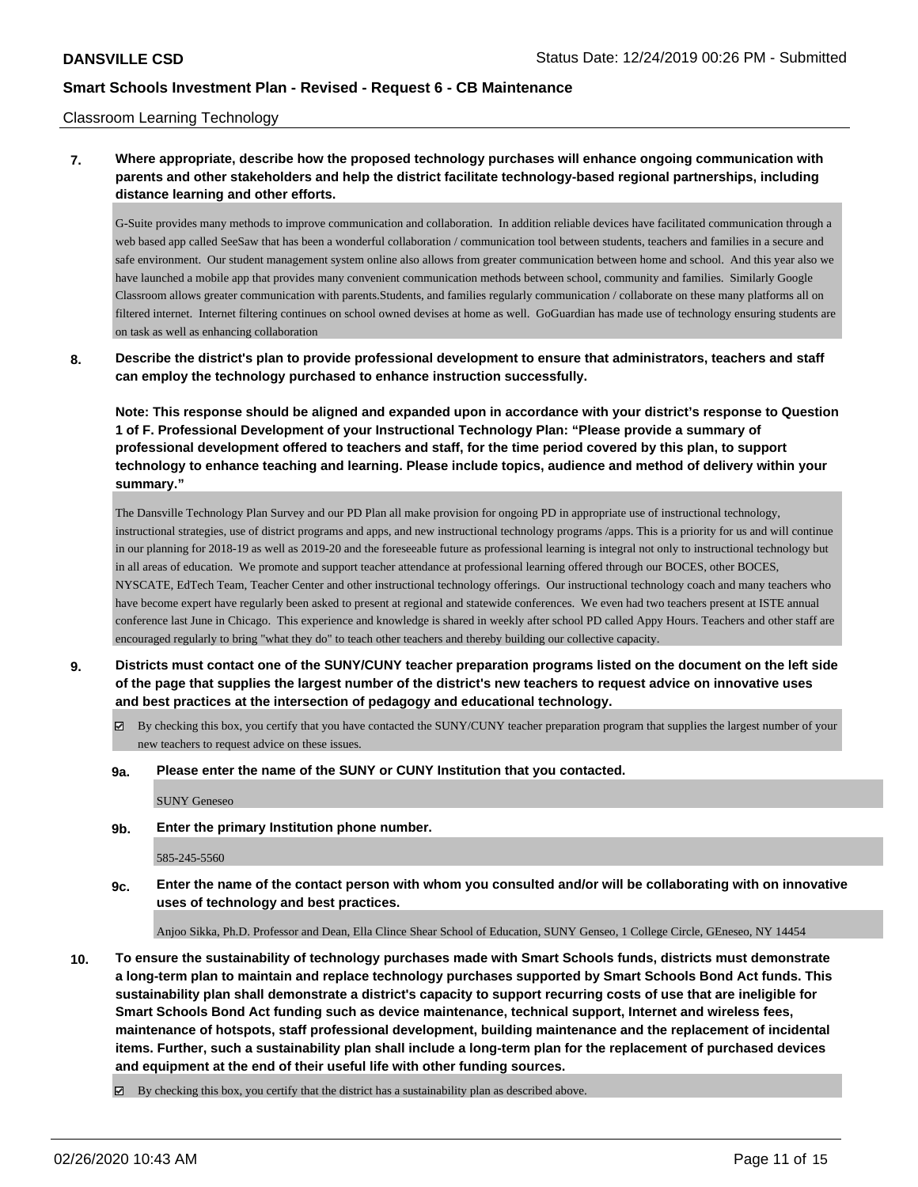### Classroom Learning Technology

**7. Where appropriate, describe how the proposed technology purchases will enhance ongoing communication with parents and other stakeholders and help the district facilitate technology-based regional partnerships, including distance learning and other efforts.**

G-Suite provides many methods to improve communication and collaboration. In addition reliable devices have facilitated communication through a web based app called SeeSaw that has been a wonderful collaboration / communication tool between students, teachers and families in a secure and safe environment. Our student management system online also allows from greater communication between home and school. And this year also we have launched a mobile app that provides many convenient communication methods between school, community and families. Similarly Google Classroom allows greater communication with parents.Students, and families regularly communication / collaborate on these many platforms all on filtered internet. Internet filtering continues on school owned devises at home as well. GoGuardian has made use of technology ensuring students are on task as well as enhancing collaboration

**8. Describe the district's plan to provide professional development to ensure that administrators, teachers and staff can employ the technology purchased to enhance instruction successfully.**

**Note: This response should be aligned and expanded upon in accordance with your district's response to Question 1 of F. Professional Development of your Instructional Technology Plan: "Please provide a summary of professional development offered to teachers and staff, for the time period covered by this plan, to support technology to enhance teaching and learning. Please include topics, audience and method of delivery within your summary."**

The Dansville Technology Plan Survey and our PD Plan all make provision for ongoing PD in appropriate use of instructional technology, instructional strategies, use of district programs and apps, and new instructional technology programs /apps. This is a priority for us and will continue in our planning for 2018-19 as well as 2019-20 and the foreseeable future as professional learning is integral not only to instructional technology but in all areas of education. We promote and support teacher attendance at professional learning offered through our BOCES, other BOCES, NYSCATE, EdTech Team, Teacher Center and other instructional technology offerings. Our instructional technology coach and many teachers who have become expert have regularly been asked to present at regional and statewide conferences. We even had two teachers present at ISTE annual conference last June in Chicago. This experience and knowledge is shared in weekly after school PD called Appy Hours. Teachers and other staff are encouraged regularly to bring "what they do" to teach other teachers and thereby building our collective capacity.

- **9. Districts must contact one of the SUNY/CUNY teacher preparation programs listed on the document on the left side of the page that supplies the largest number of the district's new teachers to request advice on innovative uses and best practices at the intersection of pedagogy and educational technology.**
	- By checking this box, you certify that you have contacted the SUNY/CUNY teacher preparation program that supplies the largest number of your new teachers to request advice on these issues.
	- **9a. Please enter the name of the SUNY or CUNY Institution that you contacted.**

SUNY Geneseo

**9b. Enter the primary Institution phone number.**

585-245-5560

**9c. Enter the name of the contact person with whom you consulted and/or will be collaborating with on innovative uses of technology and best practices.**

Anjoo Sikka, Ph.D. Professor and Dean, Ella Clince Shear School of Education, SUNY Genseo, 1 College Circle, GEneseo, NY 14454

**10. To ensure the sustainability of technology purchases made with Smart Schools funds, districts must demonstrate a long-term plan to maintain and replace technology purchases supported by Smart Schools Bond Act funds. This sustainability plan shall demonstrate a district's capacity to support recurring costs of use that are ineligible for Smart Schools Bond Act funding such as device maintenance, technical support, Internet and wireless fees, maintenance of hotspots, staff professional development, building maintenance and the replacement of incidental items. Further, such a sustainability plan shall include a long-term plan for the replacement of purchased devices and equipment at the end of their useful life with other funding sources.**

 $\boxtimes$  By checking this box, you certify that the district has a sustainability plan as described above.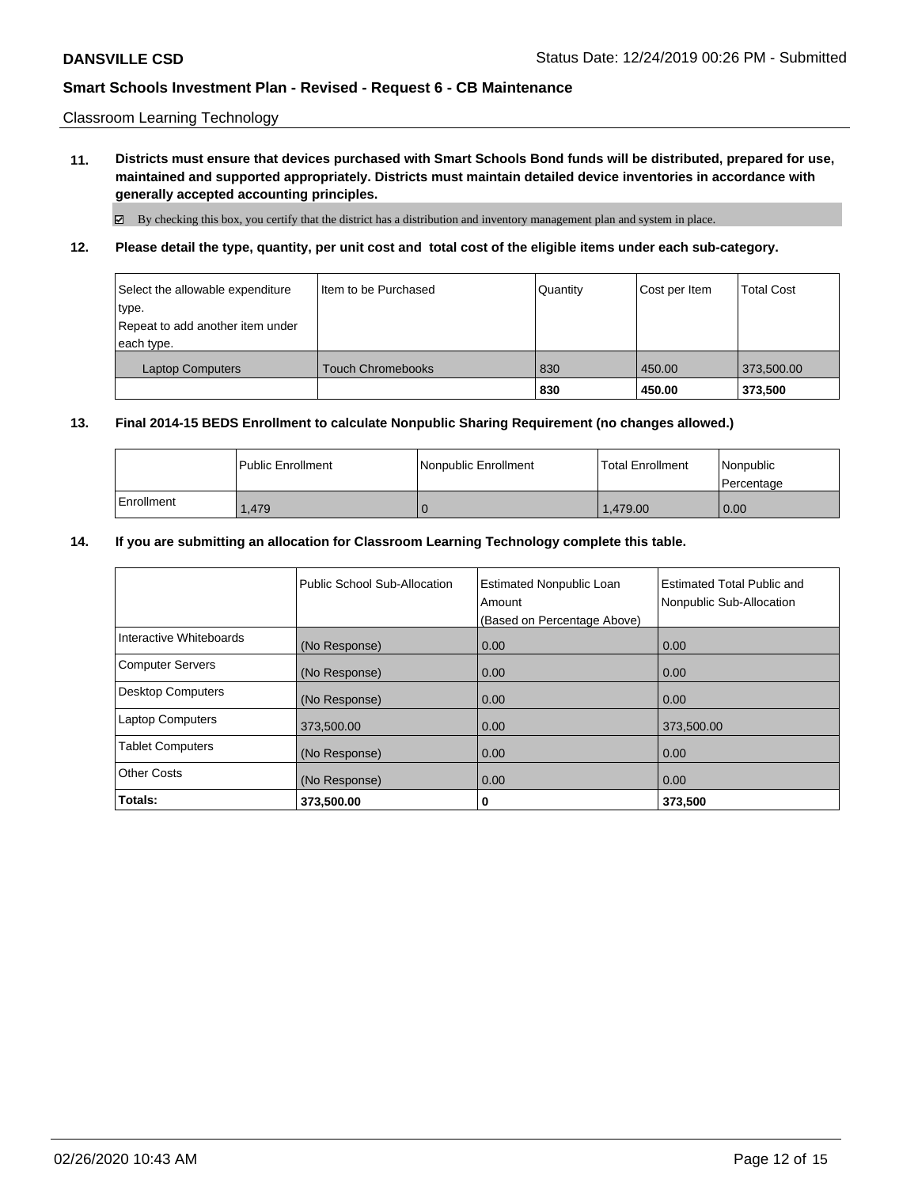Classroom Learning Technology

**11. Districts must ensure that devices purchased with Smart Schools Bond funds will be distributed, prepared for use, maintained and supported appropriately. Districts must maintain detailed device inventories in accordance with generally accepted accounting principles.**

By checking this box, you certify that the district has a distribution and inventory management plan and system in place.

**12. Please detail the type, quantity, per unit cost and total cost of the eligible items under each sub-category.**

| Select the allowable expenditure<br>type.<br>Repeat to add another item under<br>each type. | I Item to be Purchased   | Quantity | Cost per Item | <b>Total Cost</b> |
|---------------------------------------------------------------------------------------------|--------------------------|----------|---------------|-------------------|
| <b>Laptop Computers</b>                                                                     | <b>Touch Chromebooks</b> | 830      | 450.00        | 373,500.00        |
|                                                                                             |                          | 830      | 450.00        | 373,500           |

### **13. Final 2014-15 BEDS Enrollment to calculate Nonpublic Sharing Requirement (no changes allowed.)**

|            | <b>I Public Enrollment</b> | l Nonpublic Enrollment | <b>Total Enrollment</b> | Nonpublic<br>l Percentage |
|------------|----------------------------|------------------------|-------------------------|---------------------------|
| Enrollment | 1.479                      |                        | 1.479.00                | 0.00                      |

### **14. If you are submitting an allocation for Classroom Learning Technology complete this table.**

|                          | Public School Sub-Allocation | <b>Estimated Nonpublic Loan</b><br>Amount<br>(Based on Percentage Above) | <b>Estimated Total Public and</b><br>Nonpublic Sub-Allocation |
|--------------------------|------------------------------|--------------------------------------------------------------------------|---------------------------------------------------------------|
| Interactive Whiteboards  | (No Response)                | 0.00                                                                     | 0.00                                                          |
| <b>Computer Servers</b>  | (No Response)                | 0.00                                                                     | 0.00                                                          |
| <b>Desktop Computers</b> | (No Response)                | 0.00                                                                     | 0.00                                                          |
| <b>Laptop Computers</b>  | 373,500.00                   | 0.00                                                                     | 373,500.00                                                    |
| <b>Tablet Computers</b>  | (No Response)                | 0.00                                                                     | 0.00                                                          |
| <b>Other Costs</b>       | (No Response)                | 0.00                                                                     | 0.00                                                          |
| Totals:                  | 373,500.00                   | 0                                                                        | 373,500                                                       |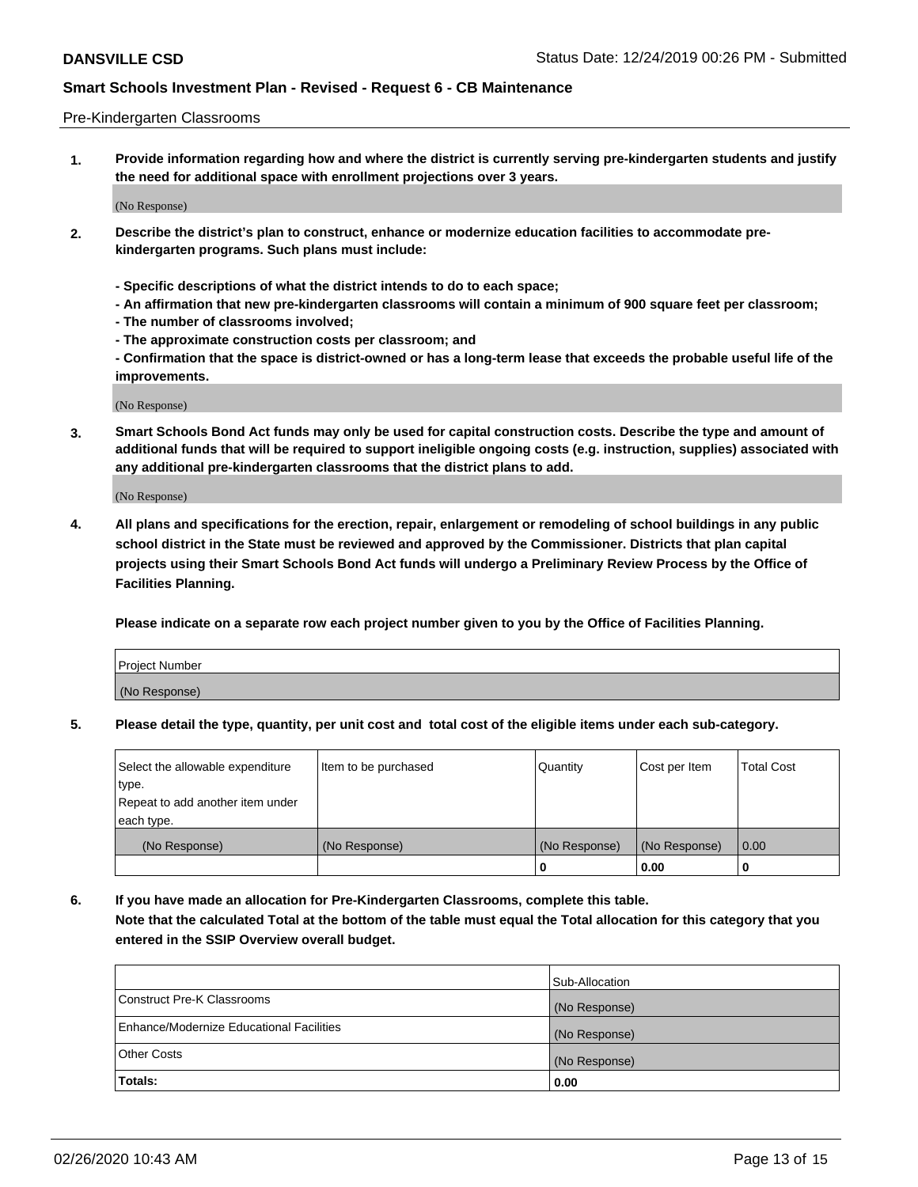### Pre-Kindergarten Classrooms

**1. Provide information regarding how and where the district is currently serving pre-kindergarten students and justify the need for additional space with enrollment projections over 3 years.**

(No Response)

- **2. Describe the district's plan to construct, enhance or modernize education facilities to accommodate prekindergarten programs. Such plans must include:**
	- **Specific descriptions of what the district intends to do to each space;**
	- **An affirmation that new pre-kindergarten classrooms will contain a minimum of 900 square feet per classroom;**
	- **The number of classrooms involved;**
	- **The approximate construction costs per classroom; and**
	- **Confirmation that the space is district-owned or has a long-term lease that exceeds the probable useful life of the improvements.**

(No Response)

**3. Smart Schools Bond Act funds may only be used for capital construction costs. Describe the type and amount of additional funds that will be required to support ineligible ongoing costs (e.g. instruction, supplies) associated with any additional pre-kindergarten classrooms that the district plans to add.**

(No Response)

**4. All plans and specifications for the erection, repair, enlargement or remodeling of school buildings in any public school district in the State must be reviewed and approved by the Commissioner. Districts that plan capital projects using their Smart Schools Bond Act funds will undergo a Preliminary Review Process by the Office of Facilities Planning.**

**Please indicate on a separate row each project number given to you by the Office of Facilities Planning.**

| Project Number |  |
|----------------|--|
| (No Response)  |  |
|                |  |

**5. Please detail the type, quantity, per unit cost and total cost of the eligible items under each sub-category.**

| Select the allowable expenditure | Item to be purchased | Quantity      | Cost per Item | <b>Total Cost</b> |
|----------------------------------|----------------------|---------------|---------------|-------------------|
| type.                            |                      |               |               |                   |
| Repeat to add another item under |                      |               |               |                   |
| each type.                       |                      |               |               |                   |
| (No Response)                    | (No Response)        | (No Response) | (No Response) | 0.00              |
|                                  |                      | U             | 0.00          |                   |

**6. If you have made an allocation for Pre-Kindergarten Classrooms, complete this table. Note that the calculated Total at the bottom of the table must equal the Total allocation for this category that you entered in the SSIP Overview overall budget.**

|                                          | Sub-Allocation |
|------------------------------------------|----------------|
| Construct Pre-K Classrooms               | (No Response)  |
| Enhance/Modernize Educational Facilities | (No Response)  |
| <b>Other Costs</b>                       | (No Response)  |
| Totals:                                  | 0.00           |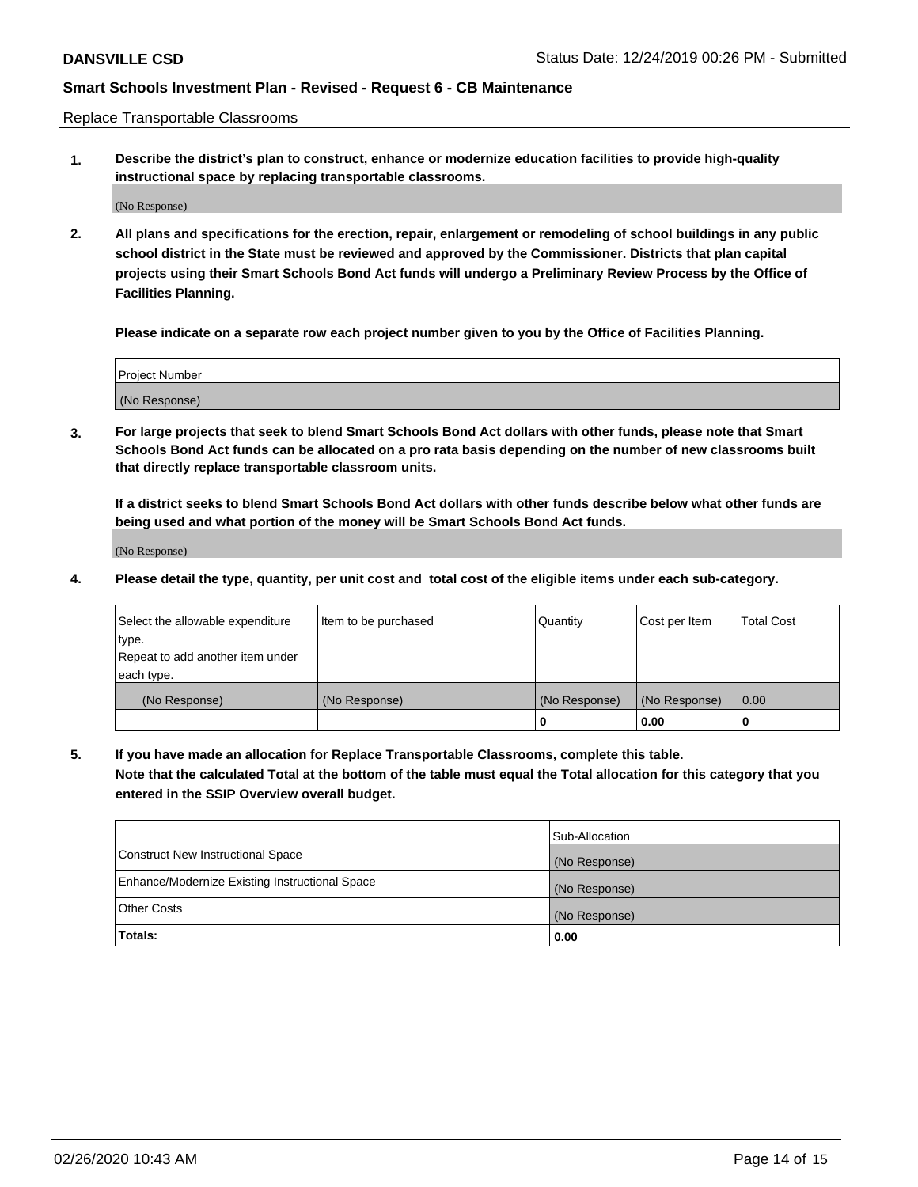Replace Transportable Classrooms

**1. Describe the district's plan to construct, enhance or modernize education facilities to provide high-quality instructional space by replacing transportable classrooms.**

(No Response)

**2. All plans and specifications for the erection, repair, enlargement or remodeling of school buildings in any public school district in the State must be reviewed and approved by the Commissioner. Districts that plan capital projects using their Smart Schools Bond Act funds will undergo a Preliminary Review Process by the Office of Facilities Planning.**

**Please indicate on a separate row each project number given to you by the Office of Facilities Planning.**

| Project Number |  |
|----------------|--|
|                |  |
|                |  |
|                |  |
| (No Response)  |  |
|                |  |
|                |  |

**3. For large projects that seek to blend Smart Schools Bond Act dollars with other funds, please note that Smart Schools Bond Act funds can be allocated on a pro rata basis depending on the number of new classrooms built that directly replace transportable classroom units.**

**If a district seeks to blend Smart Schools Bond Act dollars with other funds describe below what other funds are being used and what portion of the money will be Smart Schools Bond Act funds.**

(No Response)

**4. Please detail the type, quantity, per unit cost and total cost of the eligible items under each sub-category.**

| Select the allowable expenditure | Item to be purchased | Quantity      | Cost per Item | Total Cost |
|----------------------------------|----------------------|---------------|---------------|------------|
| ∣type.                           |                      |               |               |            |
| Repeat to add another item under |                      |               |               |            |
| each type.                       |                      |               |               |            |
| (No Response)                    | (No Response)        | (No Response) | (No Response) | 0.00       |
|                                  |                      | u             | 0.00          |            |

**5. If you have made an allocation for Replace Transportable Classrooms, complete this table. Note that the calculated Total at the bottom of the table must equal the Total allocation for this category that you entered in the SSIP Overview overall budget.**

|                                                | Sub-Allocation |
|------------------------------------------------|----------------|
| Construct New Instructional Space              | (No Response)  |
| Enhance/Modernize Existing Instructional Space | (No Response)  |
| Other Costs                                    | (No Response)  |
| Totals:                                        | 0.00           |